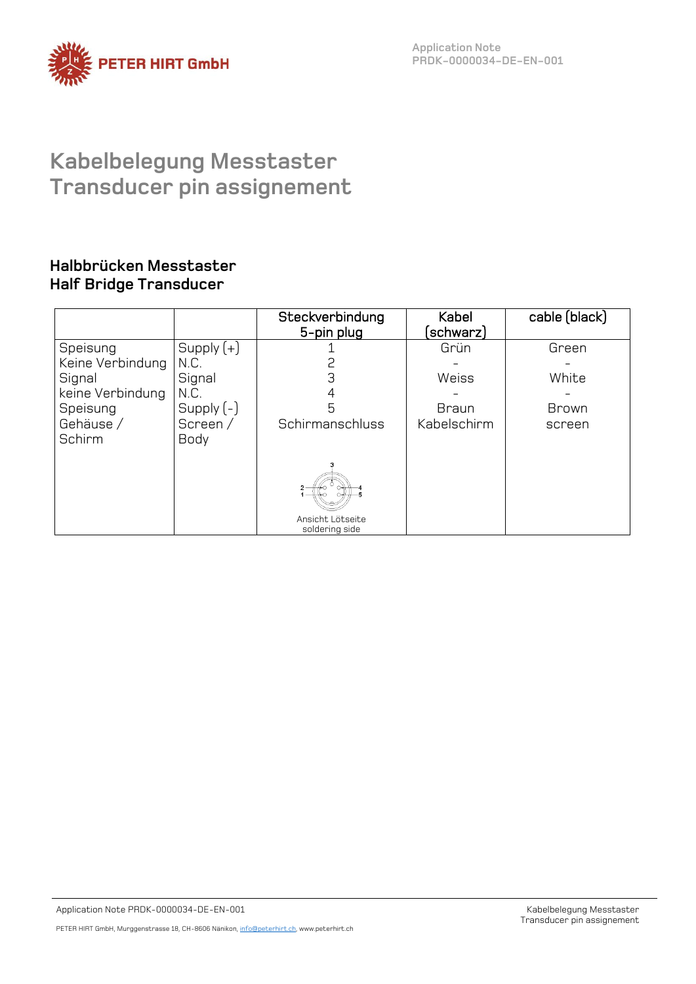

**Application Note PRDK-0000034-DE-EN-001**

# **Kabelbelegung Messtaster Transducer pin assignement**

### **Halbbrücken Messtaster Half Bridge Transducer**

|                  |              | Steckverbindung<br>5-pin plug      | Kabel<br>schwarz) | cable (black) |
|------------------|--------------|------------------------------------|-------------------|---------------|
| Speisung         | Supply $(+)$ |                                    | Grün              | Green         |
| Keine Verbindung | N.C.         |                                    |                   |               |
| Signal           | Signal       | 3                                  | Weiss             | White         |
| keine Verbindung | N.C.         |                                    |                   |               |
| Speisung         | Supply $(-)$ | 5                                  | <b>Braun</b>      | <b>Brown</b>  |
| Gehäuse /        | Screen /     | Schirmanschluss                    | Kabelschirm       | screen        |
| Schirm           | Body         |                                    |                   |               |
|                  |              | Ansicht Lötseite<br>soldering side |                   |               |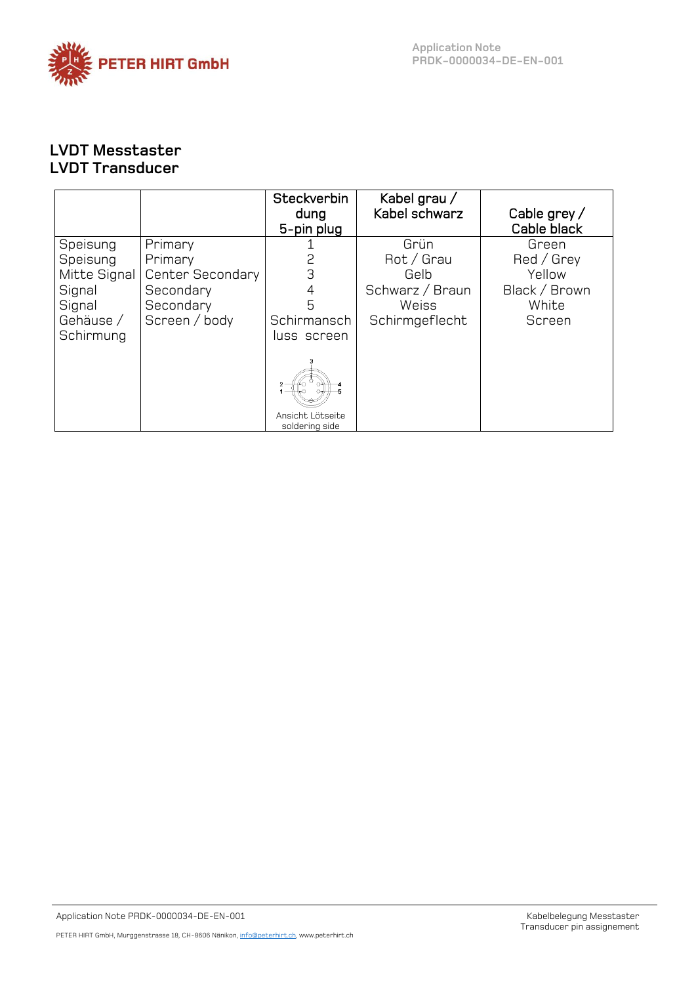

## **LVDT Messtaster LVDT Transducer**

|                  | Steckverbin<br>dung<br>5-pin plug | Kabel grau /<br>Kabel schwarz | Cable grey $/$<br>Cable black |
|------------------|-----------------------------------|-------------------------------|-------------------------------|
| Primary          |                                   | Grün                          | Green                         |
| Primary          |                                   | Rot / Grau                    | Red / Grey                    |
| Center Secondary | З                                 | Gelb                          | Yellow                        |
| Secondary        | 4                                 | Schwarz / Braun               | Black / Brown                 |
| Secondary        | 5                                 | Weiss                         | White                         |
| Screen / body    | Schirmansch                       | Schirmgeflecht                | Screen                        |
|                  | luss screen                       |                               |                               |
|                  | Ansicht Lötseite                  |                               |                               |
|                  |                                   | soldering side                |                               |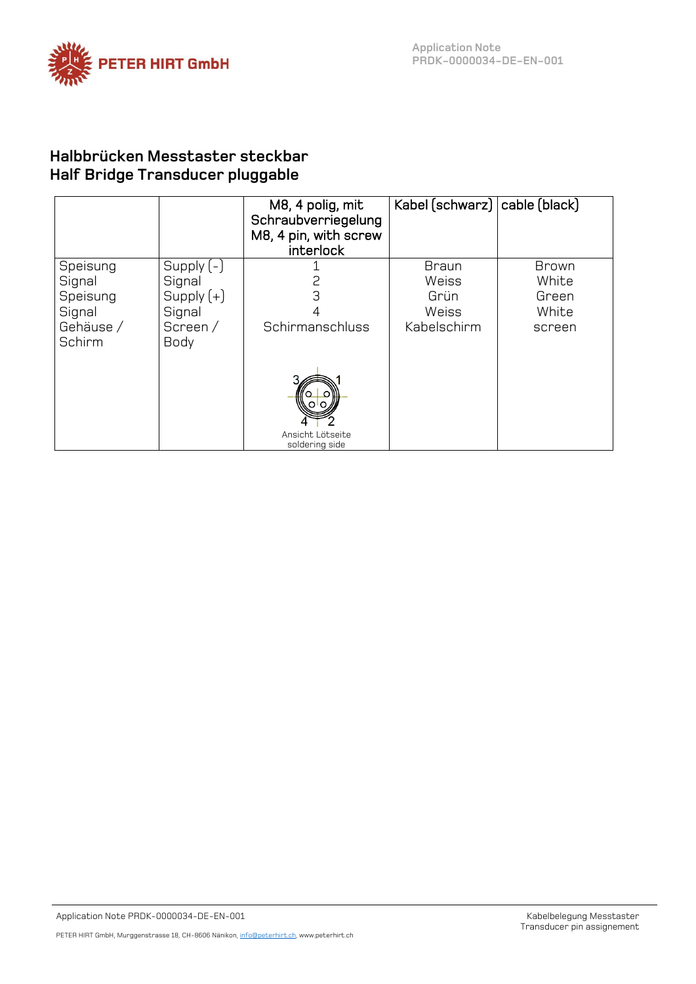

### **Halbbrücken Messtaster steckbar Half Bridge Transducer pluggable**

|                                                                 |                                                                            | M8, 4 polig, mit<br>Schraubverriegelung<br>M8, 4 pin, with screw<br>interlock | Kabel (schwarz)   cable (black)                       |                                            |
|-----------------------------------------------------------------|----------------------------------------------------------------------------|-------------------------------------------------------------------------------|-------------------------------------------------------|--------------------------------------------|
| Speisung<br>Signal<br>Speisung<br>Signal<br>Gehäuse /<br>Schirm | Supply $(-)$<br>Signal<br>Supply $(+)$<br>Signal<br>Screen/<br><b>Body</b> | 2<br>З<br>Schirmanschluss                                                     | <b>Braun</b><br>Weiss<br>Grün<br>Weiss<br>Kabelschirm | Brown<br>White<br>Green<br>White<br>screen |
|                                                                 |                                                                            | Ansicht Lötseite<br>soldering side                                            |                                                       |                                            |